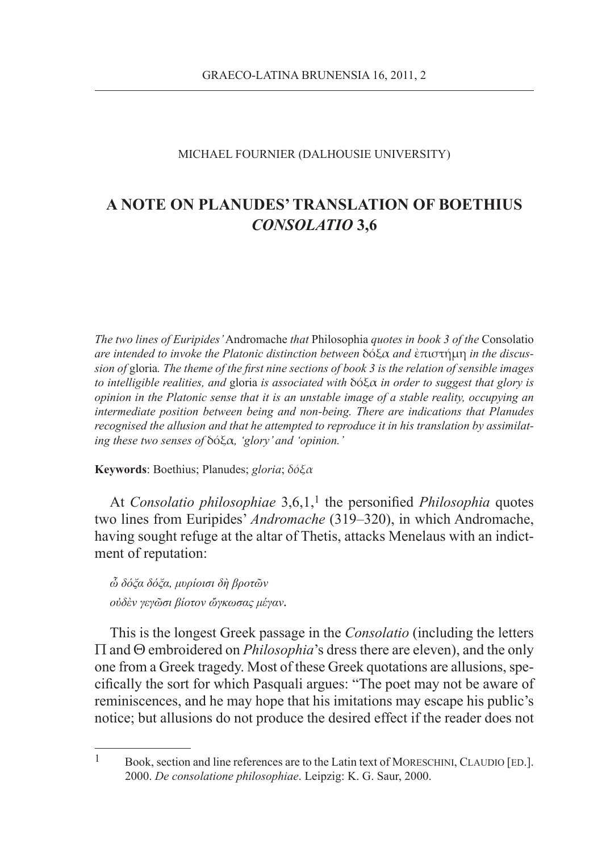## MICHAEL FOURNIER (DALHOUSIE UNIVERSITY)

## **A NOTE ON PLANUDES' TRANSLATION OF BOETHIUS**  *CONSOLATIO* **3,6**

*The two lines of Euripides'* Andromache *that* Philosophia *quotes in book 3 of the* Consolatio *are intended to invoke the Platonic distinction between* δόξα *and* ἐπιστήμη *in the discussion of* gloria*. The theme of the first nine sections of book 3 is the relation of sensible images to intelligible realities, and* gloria *is associated with* δόξα *in order to suggest that glory is opinion in the Platonic sense that it is an unstable image of a stable reality, occupying an intermediate position between being and non-being. There are indications that Planudes recognised the allusion and that he attempted to reproduce it in his translation by assimilating these two senses of* δόξα*, 'glory' and 'opinion.'*

**Keywords**: Boethius; Planudes; *gloria*; *δόξα*

At *Consolatio philosophiae* 3,6,1,<sup>1</sup> the personified *Philosophia* quotes two lines from Euripides' *Andromache* (319–320), in which Andromache, having sought refuge at the altar of Thetis, attacks Menelaus with an indictment of reputation:

*ὦ δόξα δόξα, μυρίοισι δὴ βροτῶν οὐδὲν γεγῶσι βίοτον ὤγκωσας μέγαν.*

This is the longest Greek passage in the *Consolatio* (including the letters Π and Θ embroidered on *Philosophia*'s dress there are eleven), and the only one from a Greek tragedy. Most of these Greek quotations are allusions, specifically the sort for which Pasquali argues: "The poet may not be aware of reminiscences, and he may hope that his imitations may escape his public's notice; but allusions do not produce the desired effect if the reader does not

 $1 -$ Book, section and line references are to the Latin text of MORESCHINI, CLAUDIO [ED.]. 2000. *De consolatione philosophiae*. Leipzig: K. G. Saur, 2000.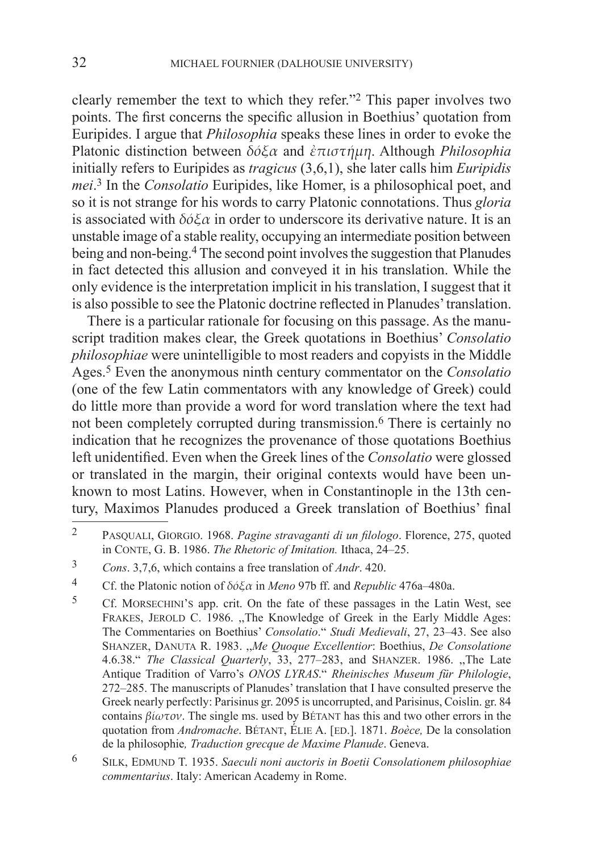clearly remember the text to which they refer."2 This paper involves two points. The first concerns the specific allusion in Boethius' quotation from Euripides. I argue that *Philosophia* speaks these lines in order to evoke the Platonic distinction between *δόξα* and *ἐπιστήμη*. Although *Philosophia* initially refers to Euripides as *tragicus* (3,6,1), she later calls him *Euripidis mei*. 3 In the *Consolatio* Euripides, like Homer, is a philosophical poet, and so it is not strange for his words to carry Platonic connotations. Thus *gloria* is associated with *δόξα* in order to underscore its derivative nature. It is an unstable image of a stable reality, occupying an intermediate position between being and non-being.4 The second point involves the suggestion that Planudes in fact detected this allusion and conveyed it in his translation. While the only evidence is the interpretation implicit in his translation, I suggest that it is also possible to see the Platonic doctrine reflected in Planudes' translation.

There is a particular rationale for focusing on this passage. As the manuscript tradition makes clear, the Greek quotations in Boethius' *Consolatio philosophiae* were unintelligible to most readers and copyists in the Middle Ages.5 Even the anonymous ninth century commentator on the *Consolatio* (one of the few Latin commentators with any knowledge of Greek) could do little more than provide a word for word translation where the text had not been completely corrupted during transmission.6 There is certainly no indication that he recognizes the provenance of those quotations Boethius left unidentified. Even when the Greek lines of the *Consolatio* were glossed or translated in the margin, their original contexts would have been unknown to most Latins. However, when in Constantinople in the 13th century, Maximos Planudes produced a Greek translation of Boethius' final

<sup>2</sup> Pasquali, Giorgio. 1968. *Pagine stravaganti di un filologo*. Florence, 275, quoted in Conte, G. B. 1986. *The Rhetoric of Imitation.* Ithaca, 24–25.

<sup>3</sup> *Cons*. 3,7,6, which contains a free translation of *Andr*. 420.

<sup>4</sup> Cf. the Platonic notion of *δόξα* in *Meno* 97b ff. and *Republic* 476a–480a.

<sup>5</sup> Cf. Morsechini's app. crit. On the fate of these passages in the Latin West, see FRAKES, JEROLD C. 1986. "The Knowledge of Greek in the Early Middle Ages: The Commentaries on Boethius' *Consolatio*." *Studi Medievali*, 27, 23–43. See also Shanzer, Danuta R. 1983. ,,*Me Quoque Excellentior*: Boethius, *De Consolatione*  4.6.38." *The Classical Quarterly*, 33, 277–283, and Shanzer. 1986. ,,The Late Antique Tradition of Varro's *ONOS LYRAS*." *Rheinisches Museum für Philologie*, 272–285. The manuscripts of Planudes' translation that I have consulted preserve the Greek nearly perfectly: Parisinus gr. 2095 is uncorrupted, and Parisinus, Coislin. gr. 84 contains *βίωτον*. The single ms. used by Bétant has this and two other errors in the quotation from *Andromache*. Bétant, Élie A. [ed.]. 1871. *Boèce,* De la consolation de la philosophie*, Traduction grecque de Maxime Planude*. Geneva.

<sup>6</sup> Silk, Edmund T. 1935. *Saeculi noni auctoris in Boetii Consolationem philosophiae commentarius*. Italy: American Academy in Rome.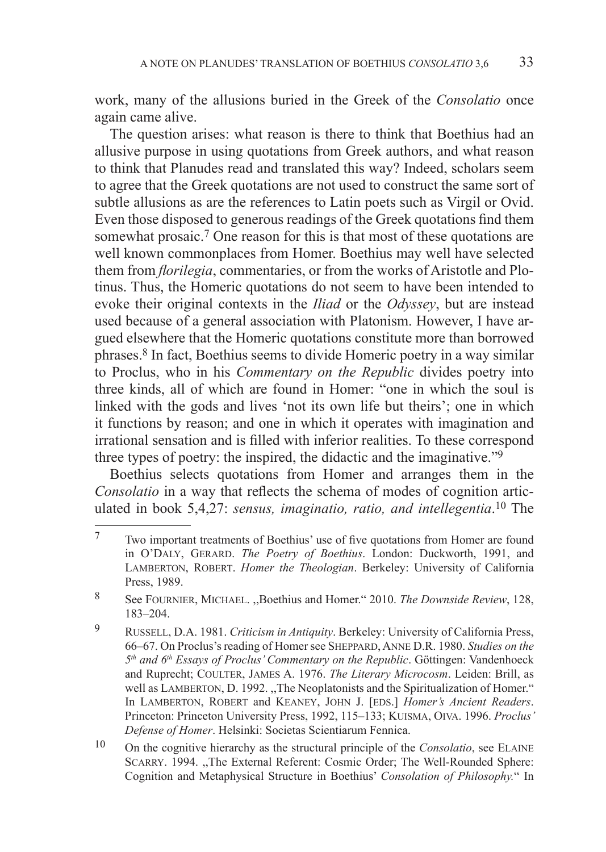work, many of the allusions buried in the Greek of the *Consolatio* once again came alive.

The question arises: what reason is there to think that Boethius had an allusive purpose in using quotations from Greek authors, and what reason to think that Planudes read and translated this way? Indeed, scholars seem to agree that the Greek quotations are not used to construct the same sort of subtle allusions as are the references to Latin poets such as Virgil or Ovid. Even those disposed to generous readings of the Greek quotations find them somewhat prosaic.7 One reason for this is that most of these quotations are well known commonplaces from Homer. Boethius may well have selected them from *florilegia*, commentaries, or from the works of Aristotle and Plotinus. Thus, the Homeric quotations do not seem to have been intended to evoke their original contexts in the *Iliad* or the *Odyssey*, but are instead used because of a general association with Platonism. However, I have argued elsewhere that the Homeric quotations constitute more than borrowed phrases.8 In fact, Boethius seems to divide Homeric poetry in a way similar to Proclus, who in his *Commentary on the Republic* divides poetry into three kinds, all of which are found in Homer: "one in which the soul is linked with the gods and lives 'not its own life but theirs'; one in which it functions by reason; and one in which it operates with imagination and irrational sensation and is filled with inferior realities. To these correspond three types of poetry: the inspired, the didactic and the imaginative."9

Boethius selects quotations from Homer and arranges them in the *Consolatio* in a way that reflects the schema of modes of cognition articulated in book 5,4,27: *sensus, imaginatio, ratio, and intellegentia*. 10 The

<sup>7</sup> Two important treatments of Boethius' use of five quotations from Homer are found in O'Daly, Gerard. *The Poetry of Boethius*. London: Duckworth, 1991, and LAMBERTON, ROBERT. *Homer the Theologian*. Berkeley: University of California Press, 1989.

<sup>8</sup> See Fournier, Michael. ,,Boethius and Homer." 2010. *The Downside Review*, 128, 183–204.

<sup>9</sup> Russell, D.A. 1981. *Criticism in Antiquity*. Berkeley: University of California Press, 66–67. On Proclus's reading of Homer see Sheppard, Anne D.R. 1980. *Studies on the 5th and 6th Essays of Proclus' Commentary on the Republic*. Göttingen: Vandenhoeck and Ruprecht; Coulter, James A. 1976. *The Literary Microcosm*. Leiden: Brill, as well as LAMBERTON, D. 1992. "The Neoplatonists and the Spiritualization of Homer." In LAMBERTON, ROBERT and KEANEY, JOHN J. [EDS.] *Homer's Ancient Readers*. Princeton: Princeton University Press, 1992, 115–133; Kuisma, Oiva. 1996. *Proclus' Defense of Homer*. Helsinki: Societas Scientiarum Fennica.

<sup>10</sup> On the cognitive hierarchy as the structural principle of the *Consolatio*, see Elaine SCARRY. 1994. "The External Referent: Cosmic Order; The Well-Rounded Sphere: Cognition and Metaphysical Structure in Boethius' *Consolation of Philosophy.*" In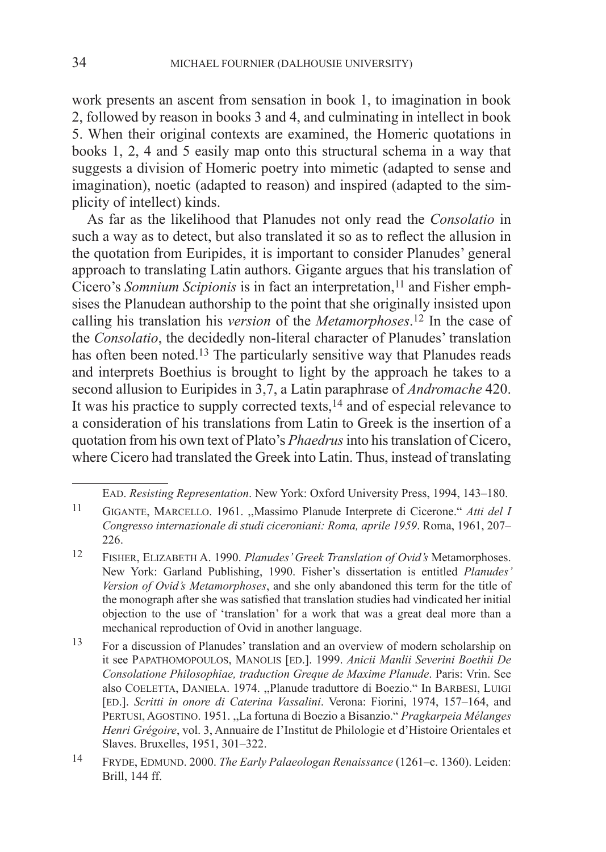work presents an ascent from sensation in book 1, to imagination in book 2, followed by reason in books 3 and 4, and culminating in intellect in book 5. When their original contexts are examined, the Homeric quotations in books 1, 2, 4 and 5 easily map onto this structural schema in a way that suggests a division of Homeric poetry into mimetic (adapted to sense and imagination), noetic (adapted to reason) and inspired (adapted to the simplicity of intellect) kinds.

As far as the likelihood that Planudes not only read the *Consolatio* in such a way as to detect, but also translated it so as to reflect the allusion in the quotation from Euripides, it is important to consider Planudes' general approach to translating Latin authors. Gigante argues that his translation of Cicero's *Somnium Scipionis* is in fact an interpretation,<sup>11</sup> and Fisher emphsises the Planudean authorship to the point that she originally insisted upon calling his translation his *version* of the *Metamorphoses*. 12 In the case of the *Consolatio*, the decidedly non-literal character of Planudes' translation has often been noted.<sup>13</sup> The particularly sensitive way that Planudes reads and interprets Boethius is brought to light by the approach he takes to a second allusion to Euripides in 3,7, a Latin paraphrase of *Andromache* 420. It was his practice to supply corrected texts, $14$  and of especial relevance to a consideration of his translations from Latin to Greek is the insertion of a quotation from his own text of Plato's *Phaedrus* into his translation of Cicero, where Cicero had translated the Greek into Latin. Thus, instead of translating

Ead. *Resisting Representation*. New York: Oxford University Press, 1994, 143–180.

<sup>11</sup> Gigante, Marcello. 1961. ,,Massimo Planude Interprete di Cicerone." *Atti del I Congresso internazionale di studi ciceroniani: Roma, aprile 1959*. Roma, 1961, 207– 226.

<sup>12</sup> Fisher, Elizabeth A. 1990. *Planudes' Greek Translation of Ovid's* Metamorphoses. New York: Garland Publishing, 1990. Fisher's dissertation is entitled *Planudes' Version of Ovid's Metamorphoses*, and she only abandoned this term for the title of the monograph after she was satisfied that translation studies had vindicated her initial objection to the use of 'translation' for a work that was a great deal more than a mechanical reproduction of Ovid in another language.

<sup>13</sup> For a discussion of Planudes' translation and an overview of modern scholarship on it see Papathomopoulos, Manolis [ed.]. 1999. *Anicii Manlii Severini Boethii De Consolatione Philosophiae, traduction Greque de Maxime Planude*. Paris: Vrin. See also COELETTA, DANIELA. 1974. "Planude traduttore di Boezio." In BARBESI, LUIGI [ed.]. *Scritti in onore di Caterina Vassalini*. Verona: Fiorini, 1974, 157–164, and Pertusi, Agostino. 1951. ,,La fortuna di Boezio a Bisanzio." *Pragkarpeia Mélanges Henri Grégoire*, vol. 3, Annuaire de I'Institut de Philologie et d'Histoire Orientales et Slaves. Bruxelles, 1951, 301–322.

<sup>14</sup> Fryde, Edmund. 2000. *The Early Palaeologan Renaissance* (1261–c. 1360). Leiden: Brill, 144 ff.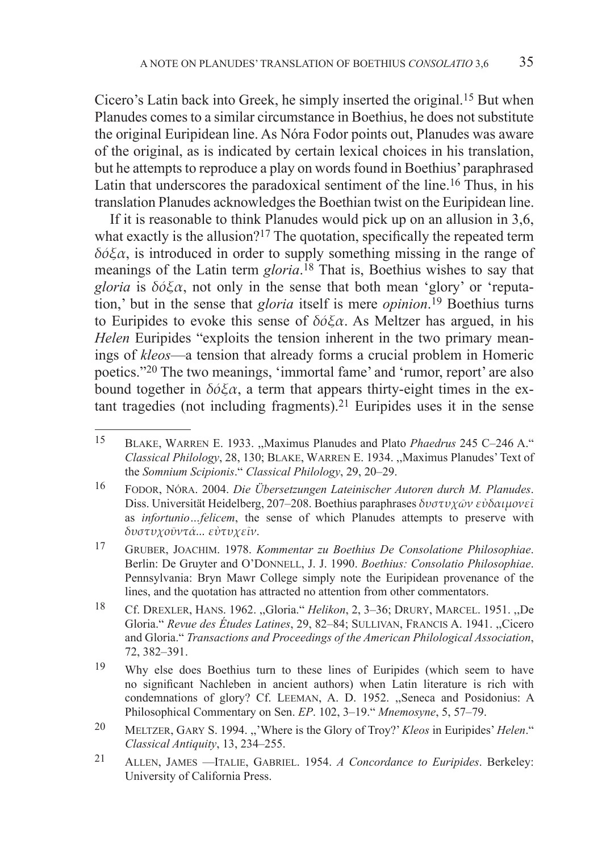Cicero's Latin back into Greek, he simply inserted the original.15 But when Planudes comes to a similar circumstance in Boethius, he does not substitute the original Euripidean line. As Nóra Fodor points out, Planudes was aware of the original, as is indicated by certain lexical choices in his translation, but he attempts to reproduce a play on words found in Boethius' paraphrased Latin that underscores the paradoxical sentiment of the line.16 Thus, in his translation Planudes acknowledges the Boethian twist on the Euripidean line.

If it is reasonable to think Planudes would pick up on an allusion in 3,6, what exactly is the allusion?<sup>17</sup> The quotation, specifically the repeated term *δόξα*, is introduced in order to supply something missing in the range of meanings of the Latin term *gloria*. 18 That is, Boethius wishes to say that *gloria* is *δόξα*, not only in the sense that both mean 'glory' or 'reputation,' but in the sense that *gloria* itself is mere *opinion*. 19 Boethius turns to Euripides to evoke this sense of *δόξα*. As Meltzer has argued, in his *Helen* Euripides "exploits the tension inherent in the two primary meanings of *kleos*—a tension that already forms a crucial problem in Homeric poetics."20 The two meanings, 'immortal fame' and 'rumor, report' are also bound together in  $\delta \phi \xi \alpha$ , a term that appears thirty-eight times in the extant tragedies (not including fragments).21 Euripides uses it in the sense

<sup>15</sup> Blake, Warren E. 1933. ,,Maximus Planudes and Plato *Phaedrus* 245 C–246 A." *Classical Philology*, 28, 130; Blake, Warren E. 1934. ,,Maximus Planudes' Text of the *Somnium Scipionis*." *Classical Philology*, 29, 20–29.

<sup>16</sup> Fodor, Nóra. 2004. *Die Übersetzungen Lateinischer Autoren durch M. Planudes*. Diss. Universität Heidelberg, 207–208. Boethius paraphrases *δυστυχῶν εὐδαιμονεῖ* as *infortunio…felicem*, the sense of which Planudes attempts to preserve with *δυστυχοῦντά... εὐτυχεῖν*.

<sup>17</sup> Gruber, Joachim. 1978. *Kommentar zu Boethius De Consolatione Philosophiae*. Berlin: De Gruyter and O'DONNELL, J. J. 1990. *Boethius: Consolatio Philosophiae*. Pennsylvania: Bryn Mawr College simply note the Euripidean provenance of the lines, and the quotation has attracted no attention from other commentators.

<sup>18</sup> Cf. Drexler, Hans. 1962. ,,Gloria." *Helikon*, 2, 3–36; Drury, Marcel. 1951. ,,De Gloria." *Revue des Études Latines*, 29, 82–84; Sullivan, Francis A. 1941. ,,Cicero and Gloria." *Transactions and Proceedings of the American Philological Association*, 72, 382–391.

<sup>&</sup>lt;sup>19</sup> Why else does Boethius turn to these lines of Euripides (which seem to have no significant Nachleben in ancient authors) when Latin literature is rich with condemnations of glory? Cf. Leeman, A. D. 1952. ,,Seneca and Posidonius: A Philosophical Commentary on Sen. *EP*. 102, 3–19." *Mnemosyne*, 5, 57–79.

<sup>20</sup> Meltzer, Gary S. 1994. ,,'Where is the Glory of Troy?' *Kleos* in Euripides' *Helen*." *Classical Antiquity*, 13, 234–255.

<sup>21</sup> Allen, James —Italie, Gabriel. 1954. *A Concordance to Euripides*. Berkeley: University of California Press.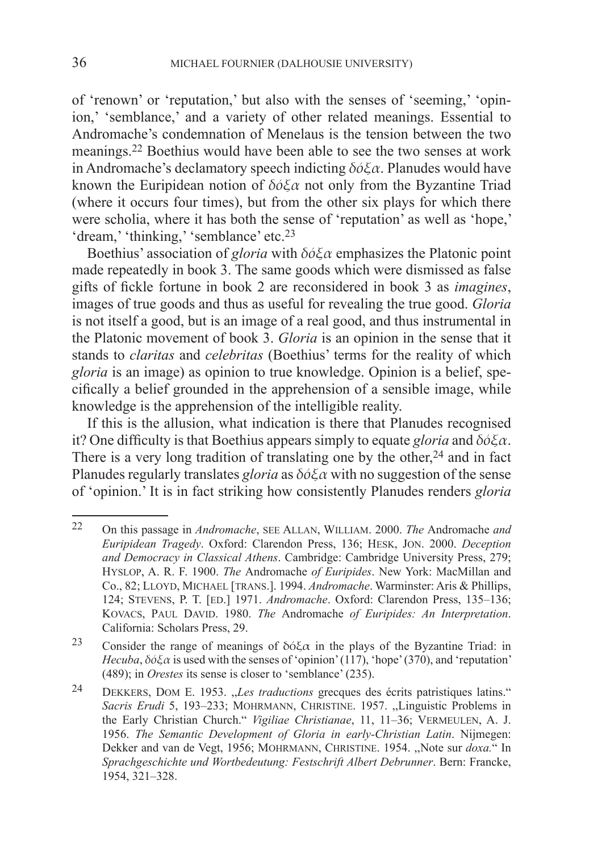of 'renown' or 'reputation,' but also with the senses of 'seeming,' 'opinion,' 'semblance,' and a variety of other related meanings. Essential to Andromache's condemnation of Menelaus is the tension between the two meanings.22 Boethius would have been able to see the two senses at work in Andromache's declamatory speech indicting *δόξα*. Planudes would have known the Euripidean notion of *δόξα* not only from the Byzantine Triad (where it occurs four times), but from the other six plays for which there were scholia, where it has both the sense of 'reputation' as well as 'hope,' 'dream,' 'thinking,' 'semblance' etc.<sup>23</sup>

Boethius' association of *gloria* with *δόξα* emphasizes the Platonic point made repeatedly in book 3. The same goods which were dismissed as false gifts of fickle fortune in book 2 are reconsidered in book 3 as *imagines*, images of true goods and thus as useful for revealing the true good. *Gloria* is not itself a good, but is an image of a real good, and thus instrumental in the Platonic movement of book 3. *Gloria* is an opinion in the sense that it stands to *claritas* and *celebritas* (Boethius' terms for the reality of which *gloria* is an image) as opinion to true knowledge. Opinion is a belief, specifically a belief grounded in the apprehension of a sensible image, while knowledge is the apprehension of the intelligible reality.

If this is the allusion, what indication is there that Planudes recognised it? One difficulty is that Boethius appears simply to equate *gloria* and *δόξα*. There is a very long tradition of translating one by the other,  $24$  and in fact Planudes regularly translates *gloria* as *δόξα* with no suggestion of the sense of 'opinion.' It is in fact striking how consistently Planudes renders *gloria*

<sup>22</sup> On this passage in *Andromache*, see Allan, William. 2000. *The* Andromache *and Euripidean Tragedy*. Oxford: Clarendon Press, 136; Hesk, Jon. 2000. *Deception and Democracy in Classical Athens*. Cambridge: Cambridge University Press, 279; Hyslop, A. R. F. 1900. *The* Andromache *of Euripides*. New York: MacMillan and Co., 82; LLOYD, MICHAEL [TRANS.]. 1994. *Andromache*. Warminster: Aris & Phillips, 124; Stevens, P. T. [ed.] 1971. *Andromache*. Oxford: Clarendon Press, 135–136; KOVACS, PAUL DAVID. 1980. *The Andromache of Euripides: An Interpretation*. California: Scholars Press, 29.

<sup>23</sup> Consider the range of meanings of  $\delta \phi \xi \alpha$  in the plays of the Byzantine Triad: in *Hecuba*,  $\delta \phi \xi \alpha$  is used with the senses of 'opinion' (117), 'hope' (370), and 'reputation' (489); in *Orestes* its sense is closer to 'semblance' (235).

<sup>24</sup> Dekkers, Dom E. 1953. ,,*Les traductions* grecques des écrits patristiques latins." *Sacris Erudi* 5, 193–233; Mohrmann, Christine. 1957. ,,Linguistic Problems in the Early Christian Church." *Vigiliae Christianae*, 11, 11–36; Vermeulen, A. J. 1956. *The Semantic Development of Gloria in early-Christian Latin*. Nijmegen: Dekker and van de Vegt, 1956; Mohrmann, Christine. 1954. ,,Note sur *doxa.*" In *Sprachgeschichte und Wortbedeutung: Festschrift Albert Debrunner*. Bern: Francke, 1954, 321–328.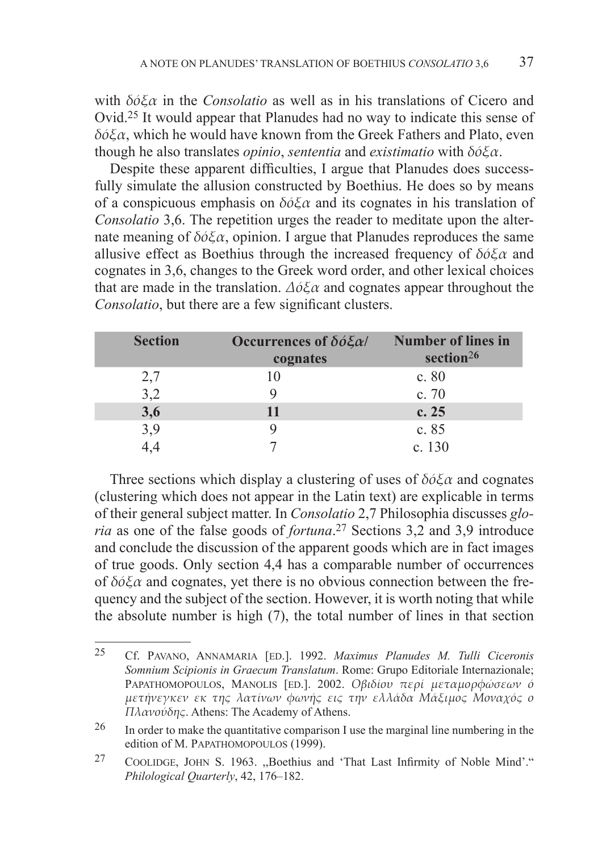with *δόξα* in the *Consolatio* as well as in his translations of Cicero and Ovid.25 It would appear that Planudes had no way to indicate this sense of *δόξα*, which he would have known from the Greek Fathers and Plato, even though he also translates *opinio*, *sententia* and *existimatio* with *δόξα*.

Despite these apparent difficulties, I argue that Planudes does successfully simulate the allusion constructed by Boethius. He does so by means of a conspicuous emphasis on *δόξα* and its cognates in his translation of *Consolatio* 3,6. The repetition urges the reader to meditate upon the alternate meaning of *δόξα*, opinion. I argue that Planudes reproduces the same allusive effect as Boethius through the increased frequency of *δόξα* and cognates in 3,6, changes to the Greek word order, and other lexical choices that are made in the translation. *Δόξα* and cognates appear throughout the *Consolatio*, but there are a few significant clusters.

| <b>Section</b> | Occurrences of $\delta \acute{o} \xi \alpha$<br>cognates | <b>Number of lines in</b><br>section <sup>26</sup> |
|----------------|----------------------------------------------------------|----------------------------------------------------|
| 2,7            |                                                          | c. 80                                              |
| 3,2            |                                                          | c.70                                               |
| 3,6            | 11                                                       | c.25                                               |
| 3,9            |                                                          | c. 85                                              |
|                |                                                          | c. $130$                                           |

Three sections which display a clustering of uses of *δόξα* and cognates (clustering which does not appear in the Latin text) are explicable in terms of their general subject matter. In *Consolatio* 2,7 Philosophia discusses *gloria* as one of the false goods of *fortuna*. 27 Sections 3,2 and 3,9 introduce and conclude the discussion of the apparent goods which are in fact images of true goods. Only section 4,4 has a comparable number of occurrences of *δόξα* and cognates, yet there is no obvious connection between the frequency and the subject of the section. However, it is worth noting that while the absolute number is high (7), the total number of lines in that section

<sup>25</sup> Cf. Pavano, Annamaria [ed.]. 1992. *Maximus Planudes M. Tulli Ciceronis Somnium Scipionis in Graecum Translatum*. Rome: Grupo Editoriale Internazionale; Papathomopoulos, Manolis [ed.]. 2002. *Οβιδίου περί μεταμορφώσεων ό μετήνεγκεν εκ της λατίνων φωνής εις την ελλάδα Μάξιμος Μοναχός ο Πλανούδης*. Athens: The Academy of Athens.

 $26$  In order to make the quantitative comparison I use the marginal line numbering in the edition of M. PAPATHOMOPOULOS (1999).

<sup>&</sup>lt;sup>27</sup> COOLIDGE, JOHN S. 1963. "Boethius and 'That Last Infirmity of Noble Mind'." *Philological Quarterly*, 42, 176–182.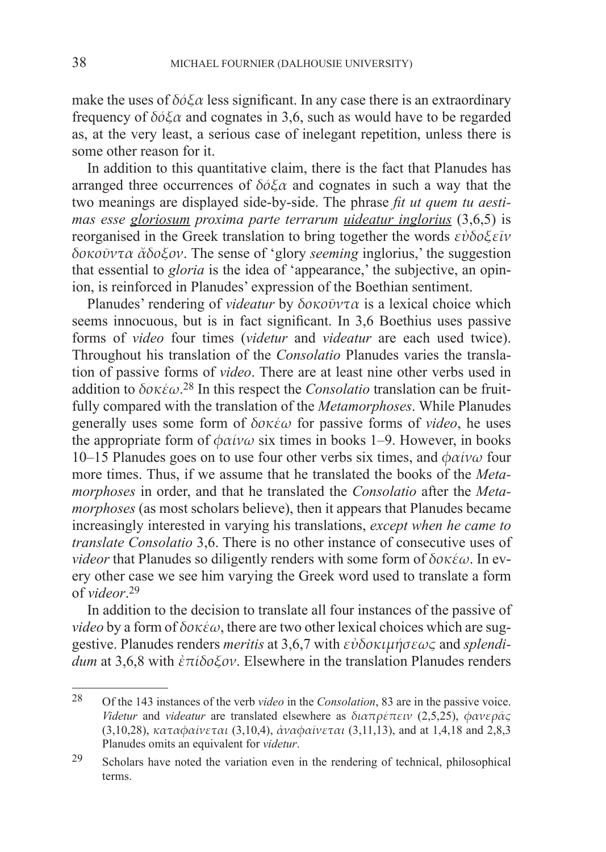make the uses of *δόξα* less significant. In any case there is an extraordinary frequency of *δόξα* and cognates in 3,6, such as would have to be regarded as, at the very least, a serious case of inelegant repetition, unless there is some other reason for it.

In addition to this quantitative claim, there is the fact that Planudes has arranged three occurrences of *δόξα* and cognates in such a way that the two meanings are displayed side-by-side. The phrase *fit ut quem tu aestimas esse gloriosum proxima parte terrarum uideatur inglorius* (3,6,5) is reorganised in the Greek translation to bring together the words *εὐδοξεῖν δοκοῦντα ἄδοξον*. The sense of 'glory *seeming* inglorius,' the suggestion that essential to *gloria* is the idea of 'appearance,' the subjective, an opinion, is reinforced in Planudes' expression of the Boethian sentiment.

Planudes' rendering of *videatur* by *δοκοῦντα* is a lexical choice which seems innocuous, but is in fact significant. In 3,6 Boethius uses passive forms of *video* four times (*videtur* and *videatur* are each used twice). Throughout his translation of the *Consolatio* Planudes varies the translation of passive forms of *video*. There are at least nine other verbs used in addition to *δοκέω*. 28 In this respect the *Consolatio* translation can be fruitfully compared with the translation of the *Metamorphoses*. While Planudes generally uses some form of *δοκέω* for passive forms of *video*, he uses the appropriate form of *φαίνω* six times in books 1–9. However, in books 10–15 Planudes goes on to use four other verbs six times, and *φαίνω* four more times. Thus, if we assume that he translated the books of the *Metamorphoses* in order, and that he translated the *Consolatio* after the *Metamorphoses* (as most scholars believe), then it appears that Planudes became increasingly interested in varying his translations, *except when he came to translate Consolatio* 3,6. There is no other instance of consecutive uses of *videor* that Planudes so diligently renders with some form of *δοκέω*. In every other case we see him varying the Greek word used to translate a form of *videor*. 29

In addition to the decision to translate all four instances of the passive of *video* by a form of *δοκέω*, there are two other lexical choices which are suggestive. Planudes renders *meritis* at 3,6,7 with *εὐδοκιμήσεως* and *splendidum* at 3,6,8 with *ἐπίδοξον*. Elsewhere in the translation Planudes renders

<sup>28</sup> Of the 143 instances of the verb *video* in the *Consolation*, 83 are in the passive voice. *Videtur* and *videatur* are translated elsewhere as *διαπρέπειν* (2,5,25), *φανερᾶς*  (3,10,28), *καταφαίνεται* (3,10,4), *ἀναφαίνεται* (3,11,13), and at 1,4,18 and 2,8,3 Planudes omits an equivalent for *videtur*.

<sup>29</sup> Scholars have noted the variation even in the rendering of technical, philosophical terms.